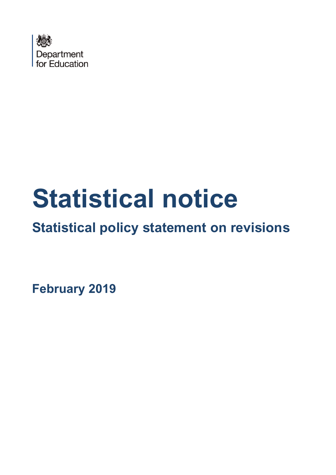

# **Statistical notice**

# **Statistical policy statement on revisions**

**February 2019**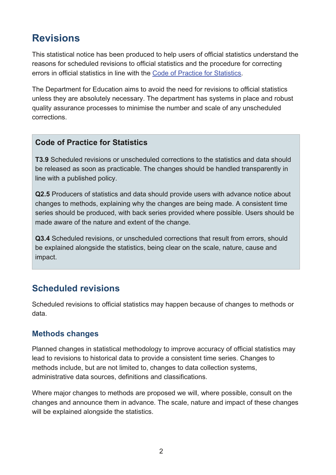# **Revisions**

This statistical notice has been produced to help users of official statistics understand the reasons for scheduled revisions to official statistics and the procedure for correcting errors in official statistics in line with the [Code of Practice for Statistics.](https://www.statisticsauthority.gov.uk/code-of-practice/)

The Department for Education aims to avoid the need for revisions to official statistics unless they are absolutely necessary. The department has systems in place and robust quality assurance processes to minimise the number and scale of any unscheduled corrections.

#### **Code of Practice for Statistics**

**T3.9** [Scheduled revisions](https://www.statisticsauthority.gov.uk/code-of-practice/the-code/trustworthiness/t3-orderly-release/) or [unscheduled corrections](https://www.statisticsauthority.gov.uk/code-of-practice/the-code/trustworthiness/t3-orderly-release/) to the statistics and data should be released as soon as practicable. The changes should be handled transparently in line with a published policy.

**Q2.5** Producers of statistics and data should provide users with advance notice about changes to methods, explaining why the changes are being made. A consistent time series should be produced, with back series provided where possible. Users should be made aware of the nature and extent of the change.

**Q3.4** Scheduled revisions, or unscheduled corrections that result from errors, should be explained alongside the statistics, being clear on the scale, nature, cause and impact.

### **Scheduled revisions**

Scheduled revisions to official statistics may happen because of changes to methods or data.

#### **Methods changes**

Planned changes in statistical methodology to improve accuracy of official statistics may lead to revisions to historical data to provide a consistent time series. Changes to methods include, but are not limited to, changes to data collection systems, administrative data sources, definitions and classifications.

Where major changes to methods are proposed we will, where possible, consult on the changes and announce them in advance. The scale, nature and impact of these changes will be explained alongside the statistics.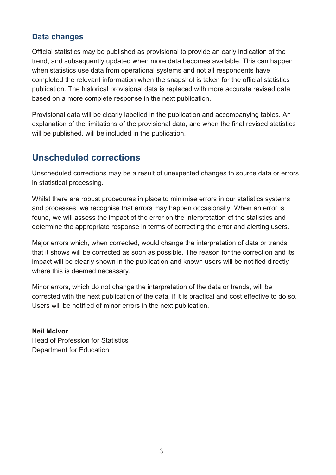#### **Data changes**

Official statistics may be published as provisional to provide an early indication of the trend, and subsequently updated when more data becomes available. This can happen when statistics use data from operational systems and not all respondents have completed the relevant information when the snapshot is taken for the official statistics publication. The historical provisional data is replaced with more accurate revised data based on a more complete response in the next publication.

Provisional data will be clearly labelled in the publication and accompanying tables. An explanation of the limitations of the provisional data, and when the final revised statistics will be published, will be included in the publication.

## **Unscheduled corrections**

Unscheduled corrections may be a result of unexpected changes to source data or errors in statistical processing.

Whilst there are robust procedures in place to minimise errors in our statistics systems and processes, we recognise that errors may happen occasionally. When an error is found, we will assess the impact of the error on the interpretation of the statistics and determine the appropriate response in terms of correcting the error and alerting users.

Major errors which, when corrected, would change the interpretation of data or trends that it shows will be corrected as soon as possible. The reason for the correction and its impact will be clearly shown in the publication and known users will be notified directly where this is deemed necessary.

Minor errors, which do not change the interpretation of the data or trends, will be corrected with the next publication of the data, if it is practical and cost effective to do so. Users will be notified of minor errors in the next publication.

**Neil McIvor**  Head of Profession for Statistics Department for Education